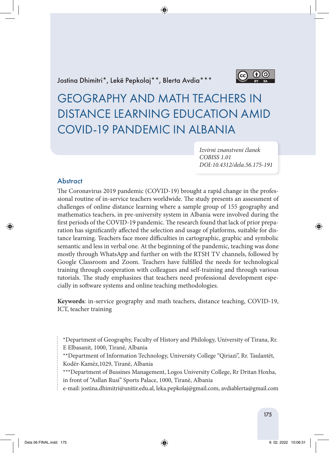Jostina Dhimitri\*, Lekë Pepkolaj\*\*, Blerta Avdia\*\*\*



GEOGRAPHY AND MATH TEACHERS IN DISTANCE LEARNING EDUCATION AMID COVID-19 PANDEMIC IN ALBANIA

> *Izvirni znanstveni članek COBISS 1.01 DOI: 10.4312/dela.56.175-191*

### **Abstract**

The Coronavirus 2019 pandemic (COVID-19) brought a rapid change in the professional routine of in-service teachers worldwide. The study presents an assessment of challenges of online distance learning where a sample group of 155 geography and mathematics teachers, in pre-university system in Albania were involved during the first periods of the COVID-19 pandemic. The research found that lack of prior preparation has significantly affected the selection and usage of platforms, suitable for distance learning. Teachers face more difficulties in cartographic, graphic and symbolic semantic and less in verbal one. At the beginning of the pandemic, teaching was done mostly through WhatsApp and further on with the RTSH TV channels, followed by Google Classroom and Zoom. Teachers have fulfilled the needs for technological training through cooperation with colleagues and self-training and through various tutorials. The study emphasizes that teachers need professional development especially in software systems and online teaching methodologies.

**Keywords**: in-service geography and math teachers, distance teaching, COVID-19, ICT, teacher training

- \*Department of Geography, Faculty of History and Philology, University of Tirana, Rr.
- E Elbasanit, 1000, Tiranë, Albania
- \*\*Department of Information Technology, University College "Qiriazi", Rr. Taulantët, Kodër-Kamëz,1029, Tiranë, Albania
- \*\*\*Department of Bussines Management, Logos University College, Rr Dritan Hoxha, in front of "Asllan Rusi" Sports Palace, 1000, Tiranë, Albania
- e-mail: jostina.dhimitri@unitir.edu.al, leka.pepkolaj@gmail.com, avdiablerta@gmail.com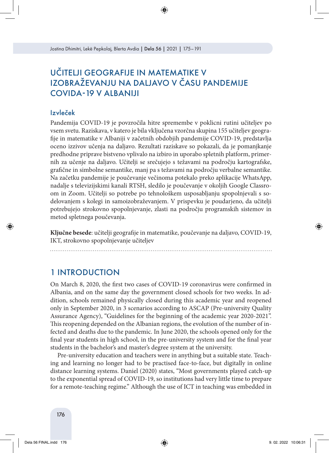# UČITELJI GEOGRAFIJE IN MATEMATIKE V IZOBRAŽEVANJU NA DALJAVO V ČASU PANDEMIJE COVIDA-19 V ALBANIJI

### Izvleček

Pandemija COVID-19 je povzročila hitre spremembe v poklicni rutini učiteljev po vsem svetu. Raziskava, v katero je bila vključena vzorčna skupina 155 učiteljev geografije in matematike v Albaniji v začetnih obdobjih pandemije COVID-19, predstavlja oceno izzivov učenja na daljavo. Rezultati raziskave so pokazali, da je pomanjkanje predhodne priprave bistveno vplivalo na izbiro in uporabo spletnih platform, primernih za učenje na daljavo. Učitelji se srečujejo s težavami na področju kartografske, grafične in simbolne semantike, manj pa s težavami na področju verbalne semantike. Na začetku pandemije je poučevanje večinoma potekalo preko aplikacije WhatsApp, nadalje s televizijskimi kanali RTSH, sledilo je poučevanje v okoljih Google Classroom in Zoom. Učitelji so potrebe po tehnološkem usposabljanju spopolnjevali s sodelovanjem s kolegi in samoizobraževanjem. V prispevku je poudarjeno, da učitelji potrebujejo strokovno spopolnjevanje, zlasti na področju programskih sistemov in metod spletnega poučevanja.

**Ključne besede**: učitelji geografije in matematike, poučevanje na daljavo, COVID-19, IKT, strokovno spopolnjevanje učiteljev

## 1 INTRODUCTION

On March 8, 2020, the first two cases of COVID-19 coronavirus were confirmed in Albania, and on the same day the government closed schools for two weeks. In addition, schools remained physically closed during this academic year and reopened only in September 2020, in 3 scenarios according to ASCAP (Pre-university Quality Assurance Agency), "Guidelines for the beginning of the academic year 2020-2021". This reopening depended on the Albanian regions, the evolution of the number of infected and deaths due to the pandemic. In June 2020, the schools opened only for the final year students in high school, in the pre-university system and for the final year students in the bachelor's and master's degree system at the university.

Pre-university education and teachers were in anything but a suitable state. Teaching and learning no longer had to be practised face-to-face, but digitally in online distance learning systems. Daniel (2020) states, "Most governments played catch-up to the exponential spread of COVID-19, so institutions had very little time to prepare for a remote-teaching regime." Although the use of ICT in teaching was embedded in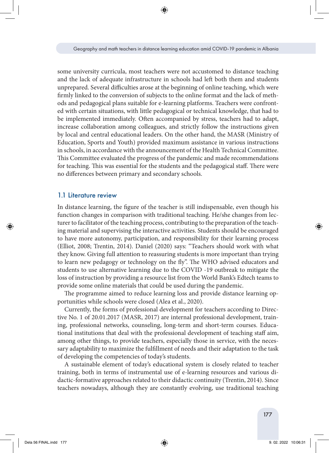some university curricula, most teachers were not accustomed to distance teaching and the lack of adequate infrastructure in schools had left both them and students unprepared. Several difficulties arose at the beginning of online teaching, which were firmly linked to the conversion of subjects to the online format and the lack of methods and pedagogical plans suitable for e-learning platforms. Teachers were confronted with certain situations, with little pedagogical or technical knowledge, that had to be implemented immediately. Often accompanied by stress, teachers had to adapt, increase collaboration among colleagues, and strictly follow the instructions given by local and central educational leaders. On the other hand, the MASR (Ministry of Education, Sports and Youth) provided maximum assistance in various instructions in schools, in accordance with the announcement of the Health Technical Committee. This Committee evaluated the progress of the pandemic and made recommendations for teaching. This was essential for the students and the pedagogical staff. There were no differences between primary and secondary schools.

#### 1.1 Literature review

In distance learning, the figure of the teacher is still indispensable, even though his function changes in comparison with traditional teaching. He/she changes from lecturer to facilitator of the teaching process, contributing to the preparation of the teaching material and supervising the interactive activities. Students should be encouraged to have more autonomy, participation, and responsibility for their learning process (Elliot, 2008; Trentin, 2014). Daniel (2020) says: "Teachers should work with what they know. Giving full attention to reassuring students is more important than trying to learn new pedagogy or technology on the fly". The WHO advised educators and students to use alternative learning due to the COVID -19 outbreak to mitigate the loss of instruction by providing a resource list from the World Bank's Edtech teams to provide some online materials that could be used during the pandemic.

The programme aimed to reduce learning loss and provide distance learning opportunities while schools were closed (Alea et al., 2020).

Currently, the forms of professional development for teachers according to Directive No. 1 of 20.01.2017 (MASR, 2017) are internal professional development, training, professional networks, counseling, long-term and short-term courses. Educational institutions that deal with the professional development of teaching staff aim, among other things, to provide teachers, especially those in service, with the necessary adaptability to maximize the fulfillment of needs and their adaptation to the task of developing the competencies of today's students.

A sustainable element of today's educational system is closely related to teacher training, both in terms of instrumental use of e-learning resources and various didactic-formative approaches related to their didactic continuity (Trentin, 2014). Since teachers nowadays, although they are constantly evolving, use traditional teaching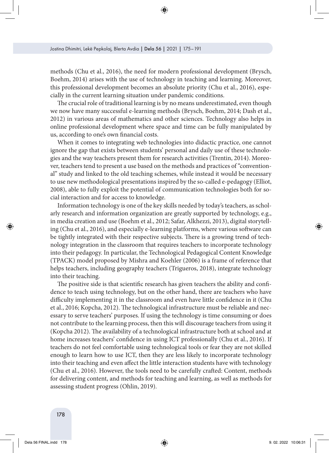methods (Chu et al., 2016), the need for modern professional development (Brysch, Boehm, 2014) arises with the use of technology in teaching and learning. Moreover, this professional development becomes an absolute priority (Chu et al., 2016), especially in the current learning situation under pandemic conditions.

The crucial role of traditional learning is by no means underestimated, even though we now have many successful e-learning methods (Brysch, Boehm, 2014; Dash et al., 2012) in various areas of mathematics and other sciences. Technology also helps in online professional development where space and time can be fully manipulated by us, according to one's own financial costs.

When it comes to integrating web technologies into didactic practice, one cannot ignore the gap that exists between students' personal and daily use of these technologies and the way teachers present them for research activities (Trentin, 2014). Moreover, teachers tend to present a use based on the methods and practices of "conventional" study and linked to the old teaching schemes, while instead it would be necessary to use new methodological presentations inspired by the so-called e-pedagogy (Elliot, 2008), able to fully exploit the potential of communication technologies both for social interaction and for access to knowledge.

Information technology is one of the key skills needed by today's teachers, as scholarly research and information organization are greatly supported by technology, e.g., in media creation and use (Boehm et al., 2012; Safar, Alkhezzi, 2013), digital storytelling (Chu et al., 2016), and especially e-learning platforms, where various software can be tightly integrated with their respective subjects. There is a growing trend of technology integration in the classroom that requires teachers to incorporate technology into their pedagogy. In particular, the Technological Pedagogical Content Knowledge (TPACK) model proposed by Mishra and Koehler (2006) is a frame of reference that helps teachers, including geography teachers (Trigueros, 2018), integrate technology into their teaching.

The positive side is that scientific research has given teachers the ability and confidence to teach using technology, but on the other hand, there are teachers who have difficulty implementing it in the classroom and even have little confidence in it (Chu et al., 2016; Kopcha, 2012). The technological infrastructure must be reliable and necessary to serve teachers' purposes. If using the technology is time consuming or does not contribute to the learning process, then this will discourage teachers from using it (Kopcha 2012). The availability of a technological infrastructure both at school and at home increases teachers' confidence in using ICT professionally (Chu et al., 2016). If teachers do not feel comfortable using technological tools or fear they are not skilled enough to learn how to use ICT, then they are less likely to incorporate technology into their teaching and even affect the little interaction students have with technology (Chu et al., 2016). However, the tools need to be carefully crafted: Content, methods for delivering content, and methods for teaching and learning, as well as methods for assessing student progress (Ohlin, 2019).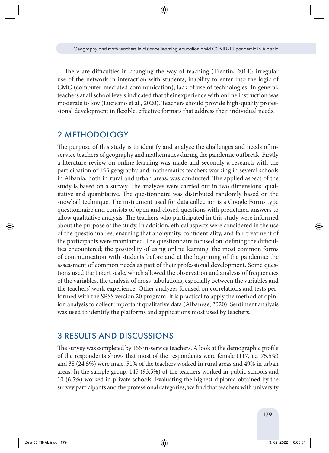There are difficulties in changing the way of teaching (Trentin, 2014): irregular use of the network in interaction with students; inability to enter into the logic of CMC (computer-mediated communication); lack of use of technologies. In general, teachers at all school levels indicated that their experience with online instruction was moderate to low (Lucisano et al., 2020). Teachers should provide high-quality professional development in flexible, effective formats that address their individual needs.

## 2 METHODOLOGY

The purpose of this study is to identify and analyze the challenges and needs of inservice teachers of geography and mathematics during the pandemic outbreak. Firstly a literature review on online learning was made and secondly a research with the participation of 155 geography and mathematics teachers working in several schools in Albania, both in rural and urban areas, was conducted. The applied aspect of the study is based on a survey. The analyzes were carried out in two dimensions: qualitative and quantitative. The questionnaire was distributed randomly based on the snowball technique. The instrument used for data collection is a Google Forms type questionnaire and consists of open and closed questions with predefined answers to allow qualitative analysis. The teachers who participated in this study were informed about the purpose of the study. In addition, ethical aspects were considered in the use of the questionnaires, ensuring that anonymity, confidentiality, and fair treatment of the participants were maintained. The questionnaire focused on: defining the difficulties encountered; the possibility of using online learning; the most common forms of communication with students before and at the beginning of the pandemic; the assessment of common needs as part of their professional development. Some questions used the Likert scale, which allowed the observation and analysis of frequencies of the variables, the analysis of cross-tabulations, especially between the variables and the teachers' work experience. Other analyzes focused on correlations and tests performed with the SPSS version 20 program. It is practical to apply the method of opinion analysis to collect important qualitative data (Albanese, 2020). Sentiment analysis was used to identify the platforms and applications most used by teachers.

### 3 RESULTS AND DISCUSSIONS

The survey was completed by 155 in-service teachers. A look at the demographic profile of the respondents shows that most of the respondents were female (117, i.e. 75.5%) and 38 (24.5%) were male. 51% of the teachers worked in rural areas and 49% in urban areas. In the sample group, 145 (93.5%) of the teachers worked in public schools and 10 (6.5%) worked in private schools. Evaluating the highest diploma obtained by the survey participants and the professional categories, we find that teachers with university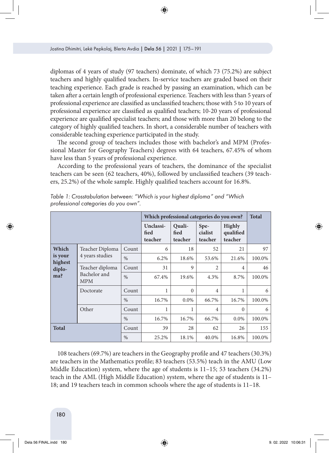diplomas of 4 years of study (97 teachers) dominate, of which 73 (75.2%) are subject teachers and highly qualified teachers. In-service teachers are graded based on their teaching experience. Each grade is reached by passing an examination, which can be taken after a certain length of professional experience. Teachers with less than 5 years of professional experience are classified as unclassified teachers; those with 5 to 10 years of professional experience are classified as qualified teachers; 10-20 years of professional experience are qualified specialist teachers; and those with more than 20 belong to the category of highly qualified teachers. In short, a considerable number of teachers with considerable teaching experience participated in the study.

The second group of teachers includes those with bachelor's and MPM (Professional Master for Geography Teachers) degrees with 64 teachers, 67.45% of whom have less than 5 years of professional experience.

According to the professional years of teachers, the dominance of the specialist teachers can be seen (62 teachers, 40%), followed by unclassified teachers (39 teachers, 25.2%) of the whole sample. Highly qualified teachers account for 16.8%.

|                                              |                                               |               | Which professional categories do you own? | <b>Total</b>              |                            |                                       |        |
|----------------------------------------------|-----------------------------------------------|---------------|-------------------------------------------|---------------------------|----------------------------|---------------------------------------|--------|
|                                              |                                               |               | Unclassi-<br>fied<br>teacher              | Quali-<br>fied<br>teacher | Spe-<br>cialist<br>teacher | <b>Highly</b><br>qualified<br>teacher |        |
| Which<br>is your<br>highest<br>diplo-<br>ma? | Teacher Diploma<br>4 years studies            | Count         | 6                                         | 18                        | 52                         | 21                                    | 97     |
|                                              |                                               | $\%$          | 6.2%                                      | 18.6%                     | 53.6%                      | 21.6%                                 | 100.0% |
|                                              | Teacher diploma<br>Bachelor and<br><b>MPM</b> | Count         | 31                                        | 9                         | $\overline{2}$             | 4                                     | 46     |
|                                              |                                               | $\frac{0}{0}$ | 67.4%                                     | 19.6%                     | 4.3%                       | 8.7%                                  | 100.0% |
|                                              | Doctorate                                     | Count         | 1                                         | $\mathbf{0}$              | $\overline{4}$             | 1                                     | 6      |
|                                              |                                               | $\%$          | 16.7%                                     | $0.0\%$                   | 66.7%                      | 16.7%                                 | 100.0% |
|                                              | Other                                         | Count         | 1                                         | 1                         | $\overline{4}$             | $\Omega$                              | 6      |
|                                              |                                               | $\%$          | 16.7%                                     | 16.7%                     | 66.7%                      | $0.0\%$                               | 100.0% |
| <b>Total</b>                                 |                                               | Count         | 39                                        | 28                        | 62                         | 26                                    | 155    |
|                                              |                                               | $\%$          | 25.2%                                     | 18.1%                     | 40.0%                      | 16.8%                                 | 100.0% |

*Table 1: Crosstabulation between: "Which is your highest diploma" and "Which professional categories do you own".*

108 teachers (69.7%) are teachers in the Geography profile and 47 teachers (30.3%) are teachers in the Mathematics profile; 83 teachers (53.5%) teach in the AMU (Low Middle Education) system, where the age of students is 11–15; 53 teachers (34.2%) teach in the AML (High Middle Education) system, where the age of students is 11– 18; and 19 teachers teach in common schools where the age of students is 11–18.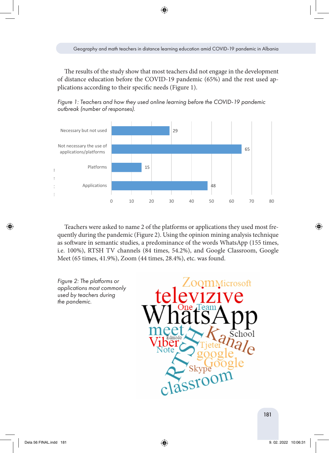The results of the study show that most teachers did not engage in the development of distance education before the COVID-19 pandemic (65%) and the rest used applications according to their specific needs (Figure 1).



*Figure 1: Teachers and how they used online learning before the COVID-19 pandemic outbreak (number of responses).*

Teachers were asked to name 2 of the platforms or applications they used most frequently during the pandemic (Figure 2). Using the opinion mining analysis technique as software in semantic studies, a predominance of the words WhatsApp (155 times, i.e. 100%), RTSH TV channels (84 times, 54.2%), and Google Classroom, Google Meet (65 times, 41.9%), Zoom (44 times, 28.4%), etc. was found.

*Figure 2: The platforms or applications most commonly used by teachers during the pandemic.*

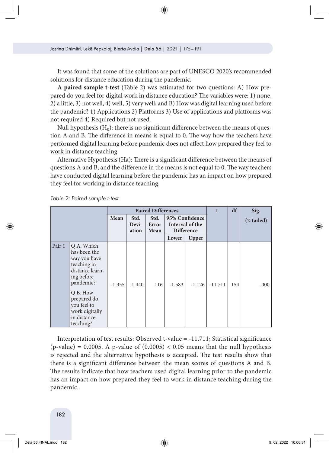It was found that some of the solutions are part of UNESCO 2020's recommended solutions for distance education during the pandemic.

**A paired sample t-test** (Table 2) was estimated for two questions: A) How prepared do you feel for digital work in distance education? The variables were: 1) none, 2) a little, 3) not well, 4) well, 5) very well; and B) How was digital learning used before the pandemic? 1) Applications 2) Platforms 3) Use of applications and platforms was not required 4) Required but not used.

Null hypothesis  $(H_0)$ : there is no significant difference between the means of question A and B. The difference in means is equal to 0. The way how the teachers have performed digital learning before pandemic does not affect how prepared they feel to work in distance teaching.

Alternative Hypothesis (Ha): There is a significant difference between the means of questions A and B, and the difference in the means is not equal to 0. The way teachers have conducted digital learning before the pandemic has an impact on how prepared they feel for working in distance teaching.

|        |                                                                                                                                                                                                 | <b>Paired Differences</b> |                        | t                     | df                                                     | Sig.     |           |     |              |
|--------|-------------------------------------------------------------------------------------------------------------------------------------------------------------------------------------------------|---------------------------|------------------------|-----------------------|--------------------------------------------------------|----------|-----------|-----|--------------|
|        |                                                                                                                                                                                                 | Mean                      | Std.<br>Devi-<br>ation | Std.<br>Error<br>Mean | 95% Confidence<br>Interval of the<br><b>Difference</b> |          |           |     | $(2-tailed)$ |
|        |                                                                                                                                                                                                 |                           |                        |                       | Lower                                                  | Upper    |           |     |              |
| Pair 1 | Q A. Which<br>has been the<br>way you have<br>teaching in<br>distance learn-<br>ing before<br>pandemic?<br>Q B. How<br>prepared do<br>you feel to<br>work digitally<br>in distance<br>teaching? | $-1.355$                  | 1.440                  | .116                  | $-1.583$                                               | $-1.126$ | $-11.711$ | 154 | .000         |

*Table 2: Paired sample t-test.*

Interpretation of test results: Observed t-value = -11.711; Statistical significance  $(p-value) = 0.0005$ . A p-value of  $(0.0005) < 0.05$  means that the null hypothesis is rejected and the alternative hypothesis is accepted. The test results show that there is a significant difference between the mean scores of questions A and B. The results indicate that how teachers used digital learning prior to the pandemic has an impact on how prepared they feel to work in distance teaching during the pandemic.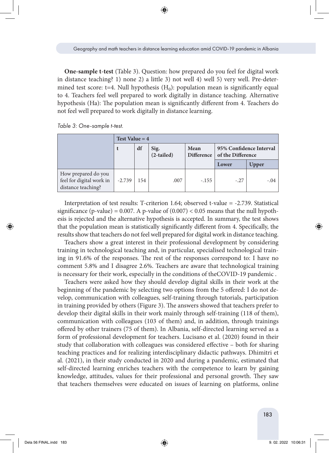**One-sample t-test** (Table 3). Question: how prepared do you feel for digital work in distance teaching? 1) none 2) a little 3) not well 4) well 5) very well. Pre-determined test score: t=4. Null hypothesis  $(H_0)$ : population mean is significantly equal to 4. Teachers feel well prepared to work digitally in distance teaching. Alternative hypothesis (Ha): The population mean is significantly different from 4. Teachers do not feel well prepared to work digitally in distance learning.

*Table 3: One-sample t-test.*

|                                                                       | Test Value = $4$ |     |                      |                           |                                              |        |  |
|-----------------------------------------------------------------------|------------------|-----|----------------------|---------------------------|----------------------------------------------|--------|--|
|                                                                       |                  | df  | Sig.<br>$(2-tailed)$ | Mean<br><b>Difference</b> | 95% Confidence Interval<br>of the Difference |        |  |
|                                                                       |                  |     |                      |                           | Lower                                        | Upper  |  |
| How prepared do you<br>feel for digital work in<br>distance teaching? | $-2.739$         | 154 | .007                 | $-.155$                   | $-.27$                                       | $-.04$ |  |

Interpretation of test results: T-criterion 1.64; observed t-value = -2.739. Statistical significance (p-value) = 0.007. A p-value of  $(0.007) < 0.05$  means that the null hypothesis is rejected and the alternative hypothesis is accepted. In summary, the test shows that the population mean is statistically significantly different from 4. Specifically, the results show that teachers do not feel well prepared for digital work in distance teaching.

Teachers show a great interest in their professional development by considering training in technological teaching and, in particular, specialised technological training in 91.6% of the responses. The rest of the responses correspond to: I have no comment 5.8% and I disagree 2.6%. Teachers are aware that technological training is necessary for their work, especially in the conditions of theCOVID-19 pandemic .

Teachers were asked how they should develop digital skills in their work at the beginning of the pandemic by selecting two options from the 5 offered: I do not develop, communication with colleagues, self-training through tutorials, participation in training provided by others (Figure 3). The answers showed that teachers prefer to develop their digital skills in their work mainly through self-training (118 of them), communication with colleagues (103 of them) and, in addition, through trainings offered by other trainers (75 of them). In Albania, self-directed learning served as a form of professional development for teachers. Lucisano et al. (2020) found in their study that collaboration with colleagues was considered effective – both for sharing teaching practices and for realizing interdisciplinary didactic pathways. Dhimitri et al. (2021), in their study conducted in 2020 and during a pandemic, estimated that self-directed learning enriches teachers with the competence to learn by gaining knowledge, attitudes, values for their professional and personal growth. They saw that teachers themselves were educated on issues of learning on platforms, online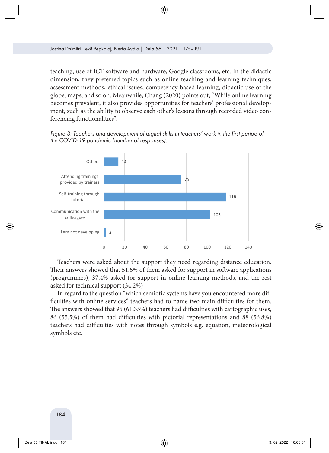teaching, use of ICT software and hardware, Google classrooms, etc. In the didactic dimension, they preferred topics such as online teaching and learning techniques, assessment methods, ethical issues, competency-based learning, didactic use of the globe, maps, and so on. Meanwhile, Chang (2020) points out, "While online learning becomes prevalent, it also provides opportunities for teachers' professional development, such as the ability to observe each other's lessons through recorded video conferencing functionalities".

*Figure 3: Teachers and development of digital skills in teachers' work in the first period of the COVID-19 pandemic (number of responses).*



Teachers were asked about the support they need regarding distance education. Their answers showed that 51.6% of them asked for support in software applications (programmes), 37.4% asked for support in online learning methods, and the rest *Figure 4: Texcel support 434.2%* KCG TOT TCCTTT

In regard to the question "which semiotic systems have you encountered more dif-In regard to the question which centred eyes the rate year incommence and the ficulties with online services" teachers had to name two main difficulties for them. The answers showed that 95 (61.35%) teachers had difficulties with cartographic uses, 1.16 answers showed that 58 (81.85%) teachers had difficulties with earlieging the acts, 86 (55.5%) of them had difficulties with pictorial representations and 88 (56.8%) teachers had difficulties with notes through symbols e.g. equation, meteorological eachers symbols etc. teachers had difficulties with hotes through symbols e.g. equation, incleoroid  $\frac{1}{2}$  with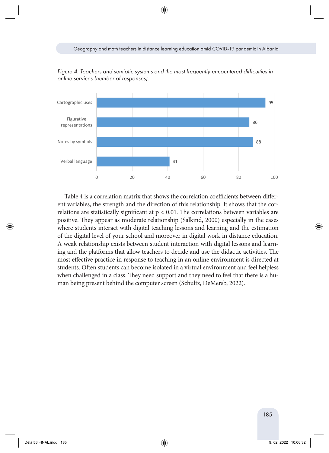*Figure 4: Teachers and semiotic systems and the most frequently encountered difficulties in online services (number of responses).*



Table 4 is a correlation matrix that shows the correlation coefficients between different variables, the strength and the direction of this relationship. It shows that the correlations are statistically significant at  $p < 0.01$ . The correlations between variables are positive. They appear as moderate relationship (Salkind, 2000) especially in the cases where students interact with digital teaching lessons and learning and the estimation of the digital level of your school and moreover in digital work in distance education. A weak relationship exists between student interaction with digital lessons and learning and the platforms that allow teachers to decide and use the didactic activities. The most effective practice in response to teaching in an online environment is directed at students. Often students can become isolated in a virtual environment and feel helpless when challenged in a class. They need support and they need to feel that there is a human being present behind the computer screen (Schultz, DeMersb, 2022).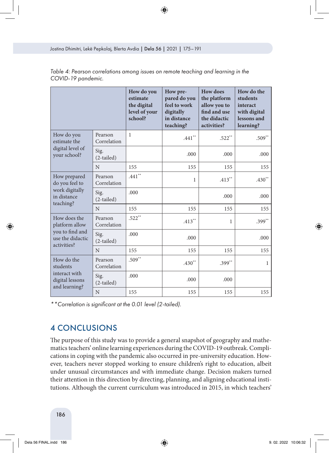|                                                                              |                        | How do you<br>estimate<br>the digital<br>level of your<br>school? | How pre-<br>pared do you<br>feel to work<br>digitally<br>in distance<br>teaching? | <b>How does</b><br>the platform<br>allow you to<br>find and use<br>the didactic<br>activities? | How do the<br>students<br>interact<br>with digital<br>lessons and<br>learning? |
|------------------------------------------------------------------------------|------------------------|-------------------------------------------------------------------|-----------------------------------------------------------------------------------|------------------------------------------------------------------------------------------------|--------------------------------------------------------------------------------|
| How do you<br>estimate the<br>digital level of<br>your school?               | Pearson<br>Correlation | 1                                                                 | $.441\sp{\ast}$                                                                   | $.522**$                                                                                       | $.509**$                                                                       |
|                                                                              | Sig.<br>(2-tailed)     |                                                                   | .000                                                                              | .000                                                                                           | .000.                                                                          |
|                                                                              | N                      | 155                                                               | 155                                                                               | 155                                                                                            | 155                                                                            |
| How prepared<br>do you feel to<br>work digitally<br>in distance<br>teaching? | Pearson<br>Correlation | $.441***$                                                         | 1                                                                                 | $.413**$                                                                                       | $.430**$                                                                       |
|                                                                              | Sig.<br>(2-tailed)     | .000                                                              |                                                                                   | .000                                                                                           | .000                                                                           |
|                                                                              | N                      | 155                                                               | 155                                                                               | 155                                                                                            | 155                                                                            |
| How does the<br>platform allow                                               | Pearson<br>Correlation | $.522**$                                                          | $.413**$                                                                          | $\mathbf{1}$                                                                                   | $.399**$                                                                       |
| you to find and<br>use the didactic<br>activities?                           | Sig.<br>$(2-tailed)$   | .000                                                              | .000                                                                              |                                                                                                | .000                                                                           |
|                                                                              | N                      | 155                                                               | 155                                                                               | 155                                                                                            | 155                                                                            |
| How do the<br>students                                                       | Pearson<br>Correlation | $.509**$                                                          | $.430**$                                                                          | $.399**$                                                                                       | $\mathbf{1}$                                                                   |
| interact with<br>digital lessons<br>and learning?                            | Sig.<br>$(2-tailed)$   | .000                                                              | .000                                                                              | .000                                                                                           |                                                                                |
|                                                                              | N                      | 155                                                               | 155                                                                               | 155                                                                                            | 155                                                                            |

*Table 4: Pearson correlations among issues on remote teaching and learning in the COVID-19 pandemic.*

*\*\*Correlation is significant at the 0.01 level (2-tailed).*

## 4 CONCLUSIONS

The purpose of this study was to provide a general snapshot of geography and mathematics teachers' online learning experiences during the COVID-19 outbreak. Complications in coping with the pandemic also occurred in pre-university education. However, teachers never stopped working to ensure children's right to education, albeit under unusual circumstances and with immediate change. Decision makers turned their attention in this direction by directing, planning, and aligning educational institutions. Although the current curriculum was introduced in 2015, in which teachers'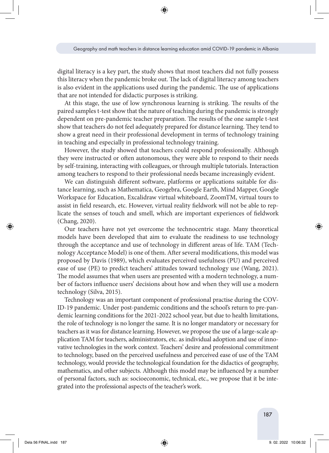digital literacy is a key part, the study shows that most teachers did not fully possess this literacy when the pandemic broke out. The lack of digital literacy among teachers is also evident in the applications used during the pandemic. The use of applications that are not intended for didactic purposes is striking.

At this stage, the use of low synchronous learning is striking. The results of the paired samples t-test show that the nature of teaching during the pandemic is strongly dependent on pre-pandemic teacher preparation. The results of the one sample t-test show that teachers do not feel adequately prepared for distance learning. They tend to show a great need in their professional development in terms of technology training in teaching and especially in professional technology training.

However, the study showed that teachers could respond professionally. Although they were instructed or often autonomous, they were able to respond to their needs by self-training, interacting with colleagues, or through multiple tutorials. Interaction among teachers to respond to their professional needs became increasingly evident.

We can distinguish different software, platforms or applications suitable for distance learning, such as Mathematica, Geogebra, Google Earth, Mind Mapper, Google Workspace for Education, Excalidraw virtual whiteboard, ZoomTM, virtual tours to assist in field research, etc. However, virtual reality fieldwork will not be able to replicate the senses of touch and smell, which are important experiences of fieldwork (Chang, 2020).

Our teachers have not yet overcome the technocentric stage. Many theoretical models have been developed that aim to evaluate the readiness to use technology through the acceptance and use of technology in different areas of life. TAM (Technology Acceptance Model) is one of them. After several modifications, this model was proposed by Davis (1989), which evaluates perceived usefulness (PU) and perceived ease of use (PE) to predict teachers' attitudes toward technology use (Wang, 2021). The model assumes that when users are presented with a modern technology, a number of factors influence users' decisions about how and when they will use a modern technology (Silva, 2015).

Technology was an important component of professional practise during the COV-ID-19 pandemic. Under post-pandemic conditions and the school's return to pre-pandemic learning conditions for the 2021-2022 school year, but due to health limitations, the role of technology is no longer the same. It is no longer mandatory or necessary for teachers as it was for distance learning. However, we propose the use of a large-scale application TAM for teachers, administrators, etc. as individual adoption and use of innovative technologies in the work context. Teachers' desire and professional commitment to technology, based on the perceived usefulness and perceived ease of use of the TAM technology, would provide the technological foundation for the didactics of geography, mathematics, and other subjects. Although this model may be influenced by a number of personal factors, such as: socioeconomic, technical, etc., we propose that it be integrated into the professional aspects of the teacher's work.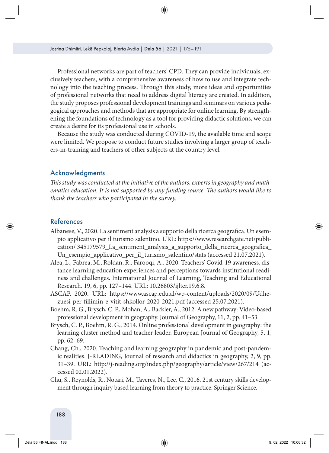Professional networks are part of teachers' CPD. They can provide individuals, exclusively teachers, with a comprehensive awareness of how to use and integrate technology into the teaching process. Through this study, more ideas and opportunities of professional networks that need to address digital literacy are created. In addition, the study proposes professional development trainings and seminars on various pedagogical approaches and methods that are appropriate for online learning. By strengthening the foundations of technology as a tool for providing didactic solutions, we can create a desire for its professional use in schools.

Because the study was conducted during COVID-19, the available time and scope were limited. We propose to conduct future studies involving a larger group of teachers-in-training and teachers of other subjects at the country level.

### Acknowledgments

*This study was conducted at the initiative of the authors, experts in geography and mathematics education. It is not supported by any funding source. The authors would like to thank the teachers who participated in the survey.*

### References

- Albanese, V., 2020. La sentiment analysis a supporto della ricerca geografica. Un esempio applicativo per il turismo salentino. URL: [https://www.researchgate.net/publi](https://www.researchgate.net/publication/ 345179579_La_sentiment_analysis_a_supporto_della_ricerca_geografica_Un_esempio_applicativo_per_il_turismo_salentino/stats)[cation/ 345179579\\_La\\_sentiment\\_analysis\\_a\\_supporto\\_della\\_ricerca\\_geografica\\_](https://www.researchgate.net/publication/ 345179579_La_sentiment_analysis_a_supporto_della_ricerca_geografica_Un_esempio_applicativo_per_il_turismo_salentino/stats) [Un\\_esempio\\_applicativo\\_per\\_il\\_turismo\\_salentino/stats](https://www.researchgate.net/publication/ 345179579_La_sentiment_analysis_a_supporto_della_ricerca_geografica_Un_esempio_applicativo_per_il_turismo_salentino/stats) (accessed 21.07.2021).
- Alea, L., Fabrea, M., Roldan, R., Farooqi, A., 2020. Teachers' Covid-19 awareness, distance learning education experiences and perceptions towards institutional readiness and challenges. International Journal of Learning, Teaching and Educational Research. 19, 6, pp. 127–144. URL: 10.26803/ijlter.19.6.8.
- ASCAP, 2020. URL: [https://www.ascap.edu.al/wp-content/uploads/2020/09/Udhe](https://www.ascap.edu.al/wp-content/uploads/2020/09/Udhezuesi-per-fillimin-e-vitit-shkollor-2020-2021.pdf)[zuesi-per-fillimin-e-vitit-shkollor-2020-2021.pdf](https://www.ascap.edu.al/wp-content/uploads/2020/09/Udhezuesi-per-fillimin-e-vitit-shkollor-2020-2021.pdf) (accessed 25.07.2021).
- Boehm, R. G., Brysch, C. P., Mohan, A., Backler, A., 2012. A new pathway: Video-based professional development in geography. Journal of Geography, 11, 2, pp. 41–53.
- Brysch, C. P., Boehm, R. G., 2014. Online professional development in geography: the learning cluster method and teacher leader. European Journal of Geography, 5, 1, pp. 62–69.
- Chang, Ch., 2020. Teaching and learning geography in pandemic and post-pandemic realities. J-READING, Journal of research and didactics in geography, 2, 9, pp. 31–39. URL: <http://j-reading.org/index.php/geography/article/view/267/214>(accessed 02.01.2022).
- Chu, S., Reynolds, R., Notari, M., Taveres, N., Lee, C., 2016. 21st century skills development through inquiry based learning from theory to practice. Springer Science.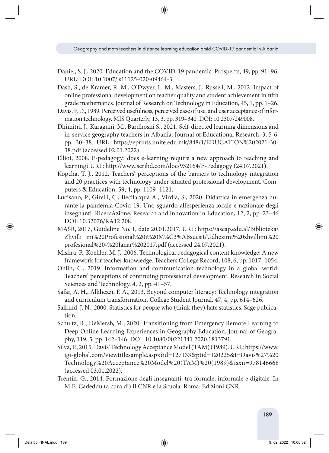- Daniel, S. J., 2020. Education and the COVID-19 pandemic. Prospects, 49, pp. 91–96. URL: DOI: 10.1007/ s11125-020-09464-3.
- Dash, S., de Kramer, R. M., O'Dwyer, L. M., Masters, J., Russell, M., 2012. Impact of online professional development on teacher quality and student achievement in fifth grade mathematics. Journal of Research on Technology in Education, 45, 1, pp. 1–26.
- Davis, F. D., 1989. Perceived usefulness, perceived ease of use, and user acceptance of information technology. MIS Quarterly, 13, 3, pp. 319–340. DOI: 10.2307/249008.
- Dhimitri, J., Karaguni, M., Bardhoshi S., 2021. Self-directed learning dimensions and in-service geography teachers in Albania. Journal of Educational Research, 3, 5-6, pp. 30–38. URL: [https://eprints.unite.edu.mk/848/1/EDUCATION%202021-30-](https://eprints.unite.edu.mk/848/1/EDUCATION 2021-30-38.pdf) [38.pdf](https://eprints.unite.edu.mk/848/1/EDUCATION 2021-30-38.pdf) (accessed 02.01.2022).
- Elliot, 2008. E-pedagogy: does e-learning require a new approach to teaching and learning? URL: http://www.scribd.com/doc/932164/E-Pedagogy (24.07.2021).
- Kopcha, T. J., 2012. Teachers' perceptions of the barriers to technology integration and 20 practices with technology under situated professional development. Computers & Education, 59, 4, pp. 1109–1121.
- Lucisano, P., Girelli, C., Becilacqua A., Virdia, S., 2020. Didattica in emergenza durante la pandemia Covid-19. Uno sguardo all'esperienza locale e nazionale degli insegnanti. RicercAzione, Research and innovation in Education, 12, 2, pp. 23–46 DOI: 10.32076/RA12 208.
- MASR, 2017, Guideline No. 1, date 20.01.2017. URL: [https://ascap.edu.al/Biblioteka/](https://ascap.edu.al/Biblioteka/Zhvilli mi Profesional i Mësuesit/Udhezimi zhvillimi profesional  Janar 2017.pdf) [Zhvilli mi%20Profesional%20i%20M%C3%ABsuesit/Udhezimi%20zhvillimi%20](https://ascap.edu.al/Biblioteka/Zhvilli mi Profesional i Mësuesit/Udhezimi zhvillimi profesional - Janar 2017.pdf) [profesional%20-%20Janar%202017.pdf](https://ascap.edu.al/Biblioteka/Zhvilli mi Profesional i Mësuesit/Udhezimi zhvillimi profesional - Janar 2017.pdf) (accessed 24.07.2021).
- Mishra, P., Koehler, M. J., 2006. Technological pedagogical content knowledge: A new framework for teacher knowledge. Teachers College Record, 108, 6, pp. 1017–1054.
- Ohlin, C., 2019. Information and communication technology in a global world: Teachers' perceptions of continuing professional development. Research in Social Sciences and Technology, 4, 2, pp. 41–57.
- Safar, A. H., Alkhezzi, F. A., 2013. Beyond computer literacy: Technology integration and curriculum transformation. College Student Journal. 47, 4, pp. 614–626.
- Salkind, J. N., 2000. Statistics for people who (think they) hate statistics. Sage publication.
- Schultz, R., DeMersb, M., 2020. Transitioning from Emergency Remote Learning to Deep Online Learning Experiences in Geography Education. Journal of Geography, 119, 5, pp. 142–146. DOI: 10.1080/00221341.2020.1813791.
- Silva, P., 2015. Davis' Technology Acceptance Model (TAM) (1989). URL: [https://www.](https://www.igi-global.com/viewtitlesample.aspx?id=127133&ptid=120225&t=Davis) [igi-global.com/viewtitlesample.aspx?id=127133&ptid=120225&t=Davis%27%20](https://www.igi-global.com/viewtitlesample.aspx?id=127133&ptid=120225&t=Davis) [Technology%20Acceptance%20Model%20\(TAM\)%20\(1989\)&isxn=978146668](https://www.igi-global.com/viewtitlesample.aspx?id=127133&ptid=120225&t=Davis) (accessed 03.01.2022).
- Trentin, G., 2014. Formazione degli insegnanti: tra formale, informale e digitale. In M.E. Cadeddu (a cura di) Il CNR e la Scuola. Roma: Edizioni CNR.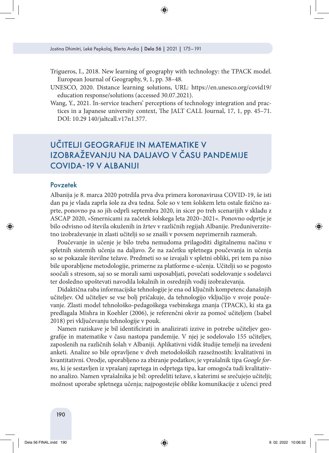- Trigueros, I., 2018. New learning of geography with technology: the TPACK model. European Journal of Geography, 9, 1, pp. 38–48.
- UNESCO, 2020. Distance learning solutions, URL: [https://en.unesco.org/covid19/](https://en.unesco.org/covid19/education response/solutions) [education response/solutions](https://en.unesco.org/covid19/education response/solutions) (accessed 30.07.2021).
- Wang, Y., 2021. In-service teachers' perceptions of technology integration and practices in a Japanese university context, The JALT CALL Journal, 17, 1, pp. 45–71. DOI: 10.29 140/jaltcall.v17n1.377.

# UČITELJI GEOGRAFIJE IN MATEMATIKE V IZOBRAŽEVANJU NA DALJAVO V ČASU PANDEMIJE COVIDA-19 V ALBANIJI

### Povzetek

Albanija je 8. marca 2020 potrdila prva dva primera koronavirusa COVID-19, še isti dan pa je vlada zaprla šole za dva tedna. Šole so v tem šolskem letu ostale fizično zaprte, ponovno pa so jih odprli septembra 2020, in sicer po treh scenarijih v skladu z ASCAP 2020, »Smernicami za začetek šolskega leta 2020–2021«. Ponovno odprtje je bilo odvisno od števila okuženih in žrtev v različnih regijah Albanije. Preduniverzitetno izobraževanje in zlasti učitelji so se znašli v povsem neprimernih razmerah.

Poučevanje in učenje je bilo treba nemudoma prilagoditi digitalnemu načinu v spletnih sistemih učenja na daljavo. Že na začetku spletnega poučevanja in učenja so se pokazale številne težave. Predmeti so se izvajali v spletni obliki, pri tem pa niso bile uporabljene metodologije, primerne za platforme e-učenja. Učitelji so se pogosto soočali s stresom, saj so se morali sami usposabljati, povečati sodelovanje s sodelavci ter dosledno upoštevati navodila lokalnih in osrednjih vodij izobraževanja.

Didaktična raba informacijske tehnologije je ena od ključnih kompetenc današnjih učiteljev. Od učiteljev se vse bolj pričakuje, da tehnologijo vključijo v svoje poučevanje. Zlasti model tehnološko-pedagoškega vsebinskega znanja (TPACK), ki sta ga predlagala Mishra in Koehler (2006), je referenčni okvir za pomoč učiteljem (Isabel 2018) pri vključevanju tehnologije v pouk.

Namen raziskave je bil identificirati in analizirati izzive in potrebe učiteljev geografije in matematike v času nastopa pandemije. V njej je sodelovalo 155 učiteljev, zaposlenih na različnih šolah v Albaniji. Aplikativni vidik študije temelji na izvedeni anketi. Analize so bile opravljene v dveh metodoloških razsežnostih: kvalitativni in kvantitativni. Orodje, uporabljeno za zbiranje podatkov, je vprašalnik tipa *Google forms*, ki je sestavljen iz vprašanj zaprtega in odprtega tipa, kar omogoča tudi kvalitativno analizo. Namen vprašalnika je bil: opredeliti težave, s katerimi se srečujejo učitelji; možnost uporabe spletnega učenja; najpogostejše oblike komunikacije z učenci pred